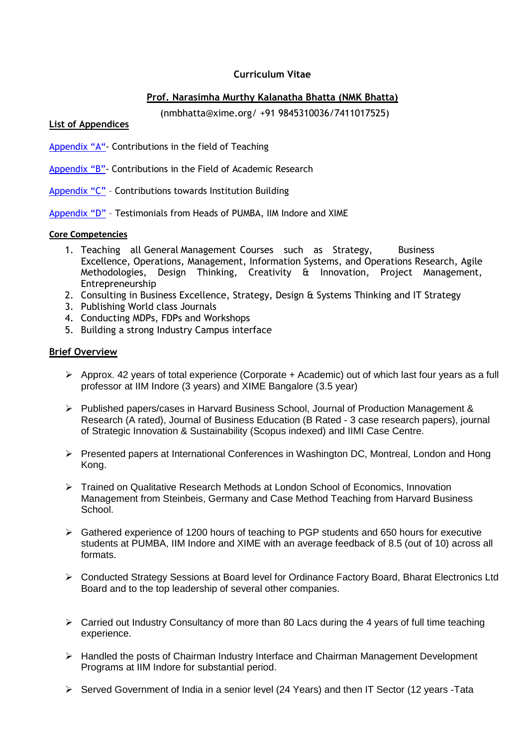## **Curriculum Vitae**

## **Prof. Narasimha Murthy Kalanatha Bhatta (NMK Bhatta)**

(nmbhatta@xime.org/ +91 9845310036/7411017525)

#### <span id="page-0-0"></span>**List of Appendices**

- [Appendix "A"](#page-3-0) Contributions in the field of Teaching
- [Appendix "B"](#page-4-0) Contributions in the Field of Academic Research
- [Appendix "C"](#page-9-0) Contributions towards Institution Building
- [Appendix "D"](#page-12-0) Testimonials from Heads of PUMBA, IIM Indore and XIME

#### **Core Competencies**

- 1. Teaching all General Management Courses such as Strategy, Business Excellence, Operations, Management, Information Systems, and Operations Research, Agile Methodologies, Design Thinking, Creativity & Innovation, Project Management, Entrepreneurship
- 2. Consulting in Business Excellence, Strategy, Design & Systems Thinking and IT Strategy
- 3. Publishing World class Journals
- 4. Conducting MDPs, FDPs and Workshops
- 5. Building a strong Industry Campus interface

## **Brief Overview**

- $\triangleright$  Approx. 42 years of total experience (Corporate + Academic) out of which last four years as a full professor at IIM Indore (3 years) and XIME Bangalore (3.5 year)
- $\triangleright$  Published papers/cases in Harvard Business School, Journal of Production Management & Research (A rated), Journal of Business Education (B Rated - 3 case research papers), journal of Strategic Innovation & Sustainability (Scopus indexed) and IIMI Case Centre.
- $\triangleright$  Presented papers at International Conferences in Washington DC, Montreal, London and Hong Kong.
- Trained on Qualitative Research Methods at London School of Economics, Innovation Management from Steinbeis, Germany and Case Method Teaching from Harvard Business School.
- $\triangleright$  Gathered experience of 1200 hours of teaching to PGP students and 650 hours for executive students at PUMBA, IIM Indore and XIME with an average feedback of 8.5 (out of 10) across all formats.
- Conducted Strategy Sessions at Board level for Ordinance Factory Board, Bharat Electronics Ltd Board and to the top leadership of several other companies.
- $\triangleright$  Carried out Industry Consultancy of more than 80 Lacs during the 4 years of full time teaching experience.
- $\triangleright$  Handled the posts of Chairman Industry Interface and Chairman Management Development Programs at IIM Indore for substantial period.
- ▶ Served Government of India in a senior level (24 Years) and then IT Sector (12 years -Tata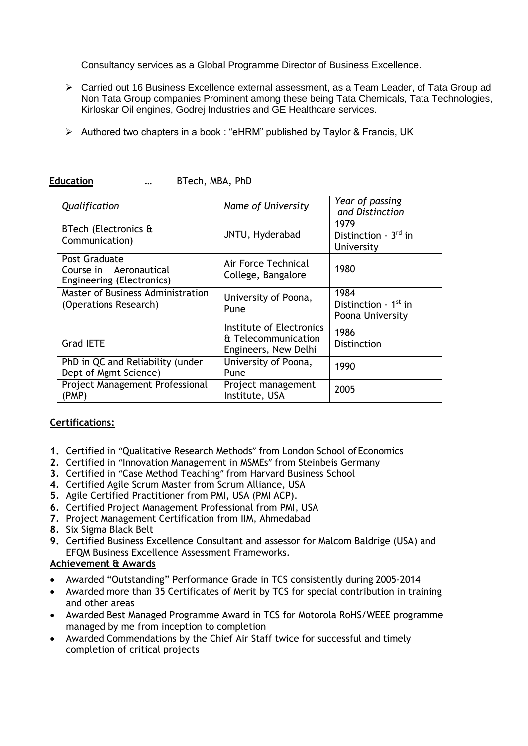Consultancy services as a Global Programme Director of Business Excellence.

- Carried out 16 Business Excellence external assessment, as a Team Leader, of Tata Group ad Non Tata Group companies Prominent among these being Tata Chemicals, Tata Technologies, Kirloskar Oil engines, Godrej Industries and GE Healthcare services.
- $\triangleright$  Authored two chapters in a book : "eHRM" published by Taylor & Francis, UK

| Qualification                                                        | Name of University                                                      | Year of passing<br>and Distinction                 |
|----------------------------------------------------------------------|-------------------------------------------------------------------------|----------------------------------------------------|
| BTech (Electronics &<br>Communication)                               | JNTU, Hyderabad                                                         | 1979<br>Distinction - $3rd$ in<br>University       |
| Post Graduate<br>Course in Aeronautical<br>Engineering (Electronics) | Air Force Technical<br>College, Bangalore                               | 1980                                               |
| Master of Business Administration<br>(Operations Research)           | University of Poona,<br>Pune                                            | 1984<br>Distinction - $1st$ in<br>Poona University |
| <b>Grad IETE</b>                                                     | Institute of Electronics<br>& Telecommunication<br>Engineers, New Delhi | 1986<br><b>Distinction</b>                         |
| PhD in QC and Reliability (under<br>Dept of Mgmt Science)            | University of Poona,<br>Pune                                            | 1990                                               |
| Project Management Professional<br>(PMP)                             | Project management<br>Institute, USA                                    | 2005                                               |

#### **Education** … BTech, MBA, PhD

## **Certifications:**

- 1. Certified in "Qualitative Research Methods" from London School of Economics
- **2.** Certified in "Innovation Management in MSMEs" from Steinbeis Germany
- **3.** Certified in "Case Method Teaching" from Harvard Business School
- **4.** Certified Agile Scrum Master from Scrum Alliance, USA
- **5.** Agile Certified Practitioner from PMI, USA (PMI ACP).
- **6.** Certified Project Management Professional from PMI, USA
- **7.** Project Management Certification from IIM, Ahmedabad
- **8.** Six Sigma Black Belt
- **9.** Certified Business Excellence Consultant and assessor for Malcom Baldrige (USA) and EFQM Business Excellence Assessment Frameworks.

# **Achievement & Awards**

- Awarded "Outstanding" Performance Grade in TCS consistently during 2005-2014
- Awarded more than 35 Certificates of Merit by TCS for special contribution in training and other areas
- Awarded Best Managed Programme Award in TCS for Motorola RoHS/WEEE programme managed by me from inception to completion
- Awarded Commendations by the Chief Air Staff twice for successful and timely completion of critical projects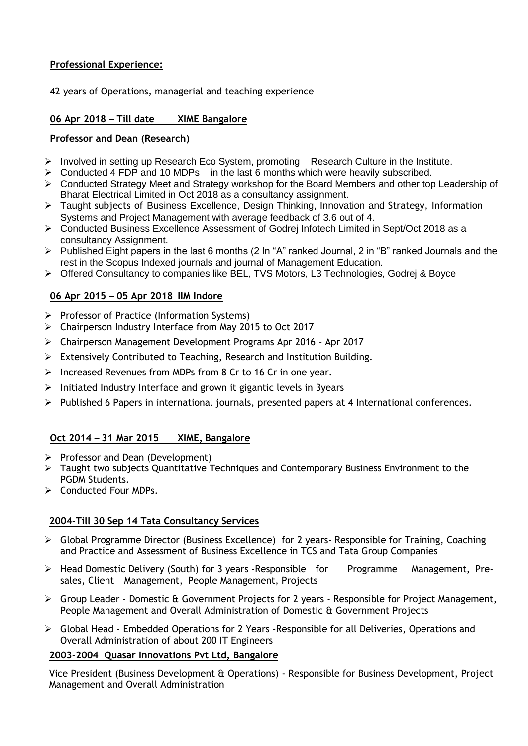## **Professional Experience:**

42 years of Operations, managerial and teaching experience

## **06 Apr 2018 – Till date XIME Bangalore**

## **Professor and Dean (Research)**

- $\triangleright$  Involved in setting up Research Eco System, promoting Research Culture in the Institute.
- $\triangleright$  Conducted 4 FDP and 10 MDPs in the last 6 months which were heavily subscribed.
- $\triangleright$  Conducted Strategy Meet and Strategy workshop for the Board Members and other top Leadership of Bharat Electrical Limited in Oct 2018 as a consultancy assignment.
- Taught subjects of Business Excellence, Design Thinking, Innovation and Strategy, Information Systems and Project Management with average feedback of 3.6 out of 4.
- Conducted Business Excellence Assessment of Godrej Infotech Limited in Sept/Oct 2018 as a consultancy Assignment.
- $\triangleright$  Published Eight papers in the last 6 months (2 In "A" ranked Journal, 2 in "B" ranked Journals and the rest in the Scopus Indexed journals and journal of Management Education.
- $\triangleright$  Offered Consultancy to companies like BEL, TVS Motors, L3 Technologies, Godrej & Boyce

## **06 Apr 2015 – 05 Apr 2018 IIM Indore**

- $\triangleright$  Professor of Practice (Information Systems)
- Chairperson Industry Interface from May 2015 to Oct 2017
- Chairperson Management Development Programs Apr 2016 Apr 2017
- Extensively Contributed to Teaching, Research and Institution Building.
- $\triangleright$  Increased Revenues from MDPs from 8 Cr to 16 Cr in one year.
- $\triangleright$  Initiated Industry Interface and grown it gigantic levels in 3years
- $\triangleright$  Published 6 Papers in international journals, presented papers at 4 International conferences.

## **Oct 2014 – 31 Mar 2015 XIME, Bangalore**

- $\triangleright$  Professor and Dean (Development)
- Taught two subjects Quantitative Techniques and Contemporary Business Environment to the PGDM Students.
- $\triangleright$  Conducted Four MDPs.

## **2004-Till 30 Sep 14 Tata Consultancy Services**

- $\triangleright$  Global Programme Director (Business Excellence) for 2 years- Responsible for Training, Coaching and Practice and Assessment of Business Excellence in TCS and Tata Group Companies
- Head Domestic Delivery (South) for 3 years -Responsible for Programme Management, Presales, Client Management, People Management, Projects
- Group Leader Domestic & Government Projects for 2 years Responsible for Project Management, People Management and Overall Administration of Domestic & Government Projects
- Global Head Embedded Operations for 2 Years -Responsible for all Deliveries, Operations and Overall Administration of about 200 IT Engineers

## **2003-2004 Quasar Innovations Pvt Ltd, Bangalore**

Vice President (Business Development & Operations) - Responsible for Business Development, Project Management and Overall Administration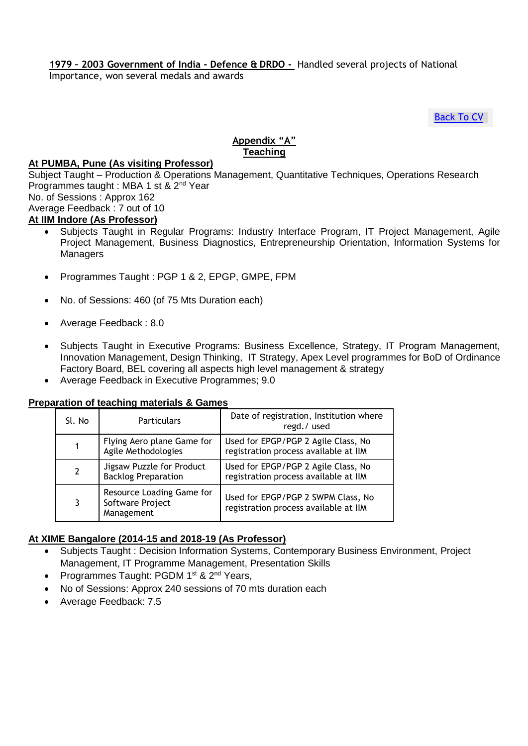## **1979 – 2003 Government of India - Defence & DRDO -** Handled several projects of National

Importance, won several medals and awards

[Back To CV](#page-0-0)

# **Appendix "A" Teaching**

#### <span id="page-3-0"></span>**At PUMBA, Pune (As visiting Professor)**

Subject Taught – Production & Operations Management, Quantitative Techniques, Operations Research Programmes taught : MBA 1 st & 2nd Year No. of Sessions : Approx 162 Average Feedback : 7 out of 10

- **At IIM Indore (As Professor)**
	- Subjects Taught in Regular Programs: Industry Interface Program, IT Project Management, Agile Project Management, Business Diagnostics, Entrepreneurship Orientation, Information Systems for **Managers**
	- Programmes Taught : PGP 1 & 2, EPGP, GMPE, FPM
	- No. of Sessions: 460 (of 75 Mts Duration each)
	- Average Feedback : 8.0
	- Subjects Taught in Executive Programs: Business Excellence, Strategy, IT Program Management, Innovation Management, Design Thinking, IT Strategy, Apex Level programmes for BoD of Ordinance Factory Board, BEL covering all aspects high level management & strategy
	- Average Feedback in Executive Programmes; 9.0

#### **Preparation of teaching materials & Games**

| Sl. No         | <b>Particulars</b>                                          | Date of registration, Institution where<br>regd./used                        |
|----------------|-------------------------------------------------------------|------------------------------------------------------------------------------|
| 1              | Flying Aero plane Game for<br>Agile Methodologies           | Used for EPGP/PGP 2 Agile Class, No<br>registration process available at IIM |
| $\overline{2}$ | Jigsaw Puzzle for Product<br><b>Backlog Preparation</b>     | Used for EPGP/PGP 2 Agile Class, No<br>registration process available at IIM |
| 3              | Resource Loading Game for<br>Software Project<br>Management | Used for EPGP/PGP 2 SWPM Class, No<br>registration process available at IIM  |

## **At XIME Bangalore (2014-15 and 2018-19 (As Professor)**

- Subjects Taught : Decision Information Systems, Contemporary Business Environment, Project Management, IT Programme Management, Presentation Skills
- Programmes Taught: PGDM 1<sup>st</sup> & 2<sup>nd</sup> Years,
- No of Sessions: Approx 240 sessions of 70 mts duration each
- Average Feedback: 7.5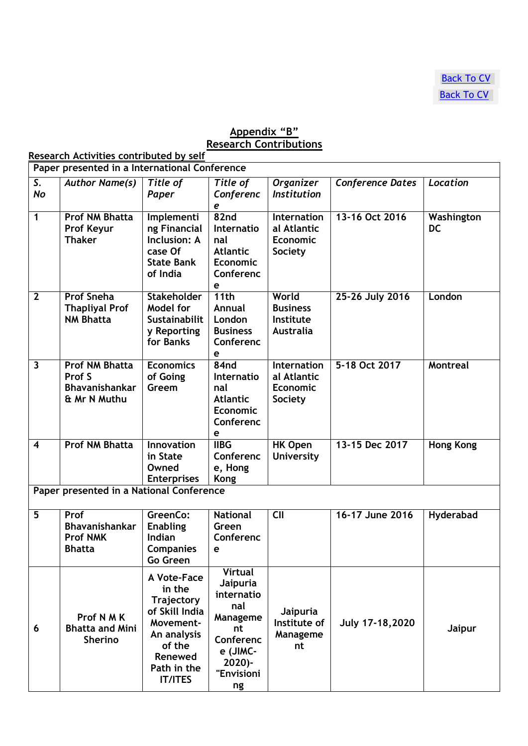## **Appendix "B" Research Contributions**

<span id="page-4-0"></span>**Research Activities contributed by self**

|                         | Paper presented in a International Conference                            |                                                                                                                                                |                                                                                                                             |                                                                        |                         |                         |  |
|-------------------------|--------------------------------------------------------------------------|------------------------------------------------------------------------------------------------------------------------------------------------|-----------------------------------------------------------------------------------------------------------------------------|------------------------------------------------------------------------|-------------------------|-------------------------|--|
| S.<br><b>No</b>         | <b>Author Name(s)</b>                                                    | Title of<br>Paper                                                                                                                              | Title of<br>Conferenc<br>e                                                                                                  | <b>Organizer</b><br><b>Institution</b>                                 | <b>Conference Dates</b> | Location                |  |
| 1                       | <b>Prof NM Bhatta</b><br><b>Prof Keyur</b><br><b>Thaker</b>              | Implementi<br>ng Financial<br>Inclusion: A<br>case Of<br><b>State Bank</b><br>of India                                                         | 82 <sub>nd</sub><br>Internatio<br>nal<br><b>Atlantic</b><br><b>Economic</b><br>Conferenc<br>e                               | <b>Internation</b><br>al Atlantic<br><b>Economic</b><br><b>Society</b> | 13-16 Oct 2016          | Washington<br><b>DC</b> |  |
| $\overline{2}$          | <b>Prof Sneha</b><br><b>Thapliyal Prof</b><br><b>NM Bhatta</b>           | <b>Stakeholder</b><br>Model for<br><b>Sustainabilit</b><br>y Reporting<br>for Banks                                                            | 11th<br>Annual<br>London<br><b>Business</b><br>Conferenc<br>e                                                               | World<br><b>Business</b><br>Institute<br><b>Australia</b>              | 25-26 July 2016         | London                  |  |
| $\overline{\mathbf{3}}$ | <b>Prof NM Bhatta</b><br>Prof S<br><b>Bhavanishankar</b><br>& Mr N Muthu | <b>Economics</b><br>of Going<br>Greem                                                                                                          | 84nd<br><b>Internatio</b><br>nal<br><b>Atlantic</b><br><b>Economic</b><br>Conferenc<br>e                                    | <b>Internation</b><br>al Atlantic<br><b>Economic</b><br><b>Society</b> | 5-18 Oct 2017           | Montreal                |  |
| $\overline{\mathbf{4}}$ | <b>Prof NM Bhatta</b>                                                    | Innovation<br>in State<br>Owned<br><b>Enterprises</b>                                                                                          | <b>IIBG</b><br>Conferenc<br>e, Hong<br><b>Kong</b>                                                                          | <b>HK Open</b><br><b>University</b>                                    | 13-15 Dec 2017          | <b>Hong Kong</b>        |  |
|                         | Paper presented in a National Conference                                 |                                                                                                                                                |                                                                                                                             |                                                                        |                         |                         |  |
| $\overline{5}$          | Prof<br><b>Bhavanishankar</b><br><b>Prof NMK</b><br><b>Bhatta</b>        | GreenCo:<br><b>Enabling</b><br><b>Indian</b><br><b>Companies</b><br>Go Green                                                                   | <b>National</b><br>Green<br>Conferenc<br>e                                                                                  | $\overline{\text{C}}$                                                  | 16-17 June 2016         | Hyderabad               |  |
| 6                       | Prof N M K<br><b>Bhatta and Mini</b><br><b>Sherino</b>                   | A Vote-Face<br>in the<br><b>Trajectory</b><br>of Skill India<br>Movement-<br>An analysis<br>of the<br>Renewed<br>Path in the<br><b>IT/ITES</b> | <b>Virtual</b><br>Jaipuria<br>internatio<br>nal<br>Manageme<br>nt<br>Conferenc<br>e (JIMC-<br>$2020$ )-<br>"Envisioni<br>ng | Jaipuria<br>Institute of<br>Manageme<br>nt                             | July 17-18, 2020        | Jaipur                  |  |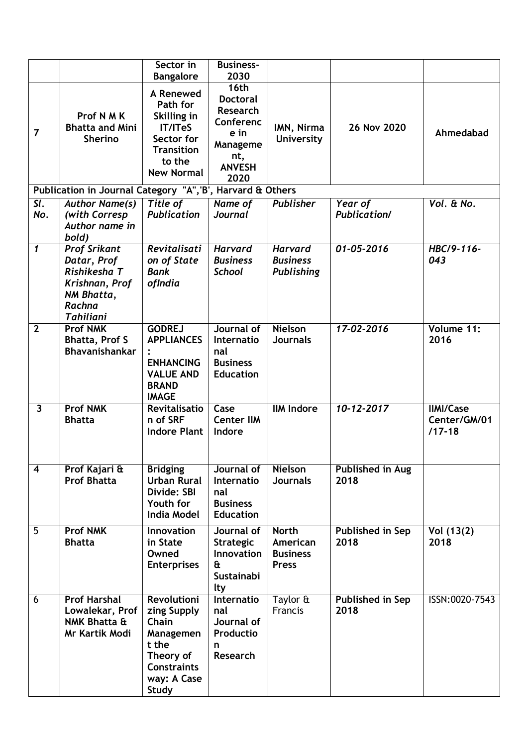|                         |                                                                                                                  | Sector in                                                                                                                          | <b>Business-</b>                                                                             |                                                             |                                |                                                |
|-------------------------|------------------------------------------------------------------------------------------------------------------|------------------------------------------------------------------------------------------------------------------------------------|----------------------------------------------------------------------------------------------|-------------------------------------------------------------|--------------------------------|------------------------------------------------|
|                         |                                                                                                                  | <b>Bangalore</b>                                                                                                                   | 2030<br>16th                                                                                 |                                                             |                                |                                                |
| $\overline{7}$          | Prof N M K<br><b>Bhatta and Mini</b><br><b>Sherino</b>                                                           | A Renewed<br>Path for<br>Skilling in<br><b>IT/ITeS</b><br>Sector for<br><b>Transition</b><br>to the<br><b>New Normal</b>           | <b>Doctoral</b><br>Research<br>Conferenc<br>e in<br>Manageme<br>nt,<br><b>ANVESH</b><br>2020 | IMN, Nirma<br><b>University</b>                             | 26 Nov 2020                    | Ahmedabad                                      |
|                         | Publication in Journal Category "A", 'B', Harvard & Others                                                       |                                                                                                                                    |                                                                                              |                                                             |                                |                                                |
| SI.<br>No.              | <b>Author Name(s)</b><br>(with Corresp<br>Author name in<br>bold)                                                | Title of<br>Publication                                                                                                            | Name of<br><b>Journal</b>                                                                    | <b>Publisher</b>                                            | Year of<br><b>Publication/</b> | Vol. & No.                                     |
| $\mathbf{1}$            | <b>Prof Srikant</b><br>Datar, Prof<br>Rishikesha T<br>Krishnan, Prof<br>NM Bhatta,<br>Rachna<br><b>Tahiliani</b> | Revitalisati<br>on of State<br><b>Bank</b><br>ofIndia                                                                              | <b>Harvard</b><br><b>Business</b><br><b>School</b>                                           | <b>Harvard</b><br><b>Business</b><br>Publishing             | $01 - 05 - 2016$               | HBC/9-116-<br>043                              |
| $\overline{2}$          | <b>Prof NMK</b><br><b>Bhatta, Prof S</b><br><b>Bhavanishankar</b>                                                | <b>GODREJ</b><br><b>APPLIANCES</b><br><b>ENHANCING</b><br><b>VALUE AND</b><br><b>BRAND</b><br><b>IMAGE</b>                         | Journal of<br>Internatio<br>nal<br><b>Business</b><br><b>Education</b>                       | <b>Nielson</b><br><b>Journals</b>                           | 17-02-2016                     | Volume 11:<br>2016                             |
| $\overline{\mathbf{3}}$ | <b>Prof NMK</b><br><b>Bhatta</b>                                                                                 | Revitalisatio<br>n of SRF<br><b>Indore Plant</b>                                                                                   | Case<br><b>Center IIM</b><br>Indore                                                          | <b>IIM Indore</b>                                           | $10 - 12 - 2017$               | <b>IIMI/Case</b><br>Center/GM/01<br>$/17 - 18$ |
| $\overline{\mathbf{4}}$ | Prof Kajari &<br><b>Prof Bhatta</b>                                                                              | <b>Bridging</b><br><b>Urban Rural</b><br>Divide: SBI<br>Youth for<br><b>India Model</b>                                            | Journal of<br>Internatio<br>nal<br><b>Business</b><br><b>Education</b>                       | <b>Nielson</b><br><b>Journals</b>                           | Published in Aug<br>2018       |                                                |
| $\overline{5}$          | <b>Prof NMK</b><br><b>Bhatta</b>                                                                                 | <b>Innovation</b><br>in State<br>Owned<br><b>Enterprises</b>                                                                       | Journal of<br>Strategic<br>Innovation<br>£<br>Sustainabi<br>lty                              | <b>North</b><br>American<br><b>Business</b><br><b>Press</b> | Published in Sep<br>2018       | Vol (13(2)<br>2018                             |
| 6                       | <b>Prof Harshal</b><br>Lowalekar, Prof<br><b>NMK Bhatta &amp;</b><br>Mr Kartik Modi                              | <b>Revolutioni</b><br>zing Supply<br>Chain<br>Managemen<br>t the<br>Theory of<br><b>Constraints</b><br>way: A Case<br><b>Study</b> | Internatio<br>nal<br>Journal of<br>Productio<br>n<br><b>Research</b>                         | Taylor &<br>Francis                                         | Published in Sep<br>2018       | ISSN:0020-7543                                 |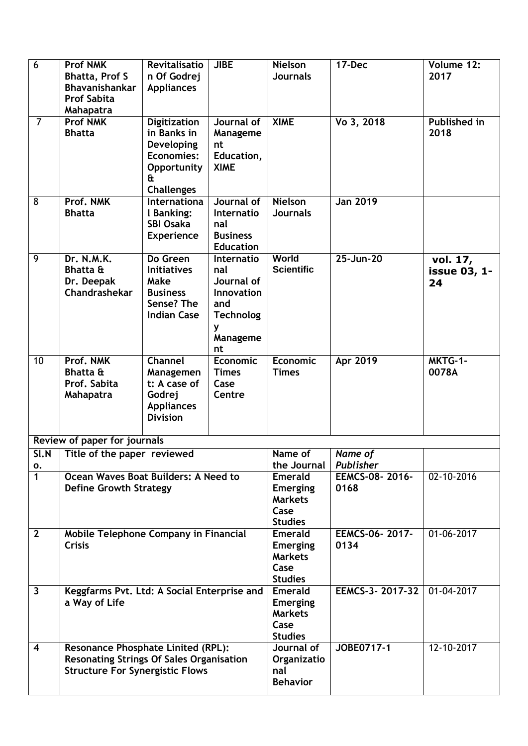| $\overline{6}$          | <b>Prof NMK</b><br><b>Bhatta, Prof S</b><br>Bhavanishankar<br><b>Prof Sabita</b><br>Mahapatra                                          | Revitalisatio<br>n Of Godrej<br><b>Appliances</b>                                                              | <b>JIBE</b>                                                                                            | <b>Nielson</b><br><b>Journals</b>                                             | 17-Dec                      | Volume 12:<br>2017             |
|-------------------------|----------------------------------------------------------------------------------------------------------------------------------------|----------------------------------------------------------------------------------------------------------------|--------------------------------------------------------------------------------------------------------|-------------------------------------------------------------------------------|-----------------------------|--------------------------------|
| $\overline{7}$          | <b>Prof NMK</b><br><b>Bhatta</b>                                                                                                       | <b>Digitization</b><br>in Banks in<br><b>Developing</b><br>Economies:<br>Opportunity<br>£<br><b>Challenges</b> | Journal of<br>Manageme<br>nt<br>Education,<br><b>XIME</b>                                              | <b>XIME</b>                                                                   | Vo 3, 2018                  | <b>Published in</b><br>2018    |
| $\overline{8}$          | Prof. NMK<br><b>Bhatta</b>                                                                                                             | Internationa<br>I Banking:<br><b>SBI Osaka</b><br><b>Experience</b>                                            | Journal of<br>Internatio<br>nal<br><b>Business</b><br><b>Education</b>                                 | <b>Nielson</b><br><b>Journals</b>                                             | <b>Jan 2019</b>             |                                |
| $\overline{9}$          | Dr. N.M.K.<br><b>Bhatta &amp;</b><br>Dr. Deepak<br>Chandrashekar                                                                       | Do Green<br><b>Initiatives</b><br>Make<br><b>Business</b><br>Sense? The<br><b>Indian Case</b>                  | Internatio<br>nal<br>Journal of<br><b>Innovation</b><br>and<br><b>Technolog</b><br>y<br>Manageme<br>nt | <b>World</b><br><b>Scientific</b>                                             | 25-Jun-20                   | vol. 17,<br>issue 03, 1-<br>24 |
| 10                      | Prof. NMK<br><b>Bhatta &amp;</b><br>Prof. Sabita<br>Mahapatra                                                                          | <b>Channel</b><br>Managemen<br>t: A case of<br>Godrej<br><b>Appliances</b><br><b>Division</b>                  | <b>Economic</b><br><b>Times</b><br>Case<br>Centre                                                      | <b>Economic</b><br><b>Times</b>                                               | Apr 2019                    | MKTG-1-<br>0078A               |
|                         | Review of paper for journals                                                                                                           |                                                                                                                |                                                                                                        |                                                                               |                             |                                |
|                         | $SI.N$ Title of the paper reviewed                                                                                                     |                                                                                                                |                                                                                                        | Name of                                                                       | Name of                     |                                |
| о.<br>$\overline{1}$    |                                                                                                                                        |                                                                                                                |                                                                                                        | the Journal<br><b>Emerald</b>                                                 | Publisher<br>EEMCS-08-2016- | 02-10-2016                     |
|                         | Ocean Waves Boat Builders: A Need to<br><b>Define Growth Strategy</b>                                                                  |                                                                                                                | <b>Emerging</b><br><b>Markets</b><br>Case<br><b>Studies</b>                                            | 0168                                                                          |                             |                                |
| $\overline{2}$          | Mobile Telephone Company in Financial<br><b>Crisis</b>                                                                                 |                                                                                                                |                                                                                                        | <b>Emerald</b><br><b>Emerging</b><br><b>Markets</b><br>Case<br><b>Studies</b> | EEMCS-06-2017-<br>0134      | $01 - 06 - 2017$               |
| $\overline{\mathbf{3}}$ | Keggfarms Pvt. Ltd: A Social Enterprise and<br>a Way of Life                                                                           |                                                                                                                |                                                                                                        | <b>Emerald</b><br><b>Emerging</b><br><b>Markets</b><br>Case<br><b>Studies</b> | EEMCS-3-2017-32             | 01-04-2017                     |
| $\overline{\mathbf{4}}$ | <b>Resonance Phosphate Linited (RPL):</b><br><b>Resonating Strings Of Sales Organisation</b><br><b>Structure For Synergistic Flows</b> |                                                                                                                |                                                                                                        | Journal of<br>Organizatio<br>nal<br><b>Behavior</b>                           | JOBE0717-1                  | $12 - 10 - 2017$               |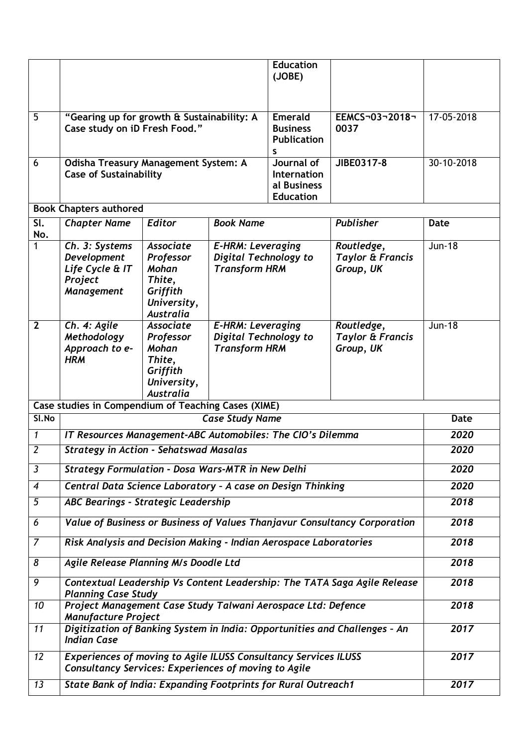|                                 |                                                                                                                                       |                                                                                                 |                                                                                                      | <b>Education</b>                                                  |                                                        |               |  |
|---------------------------------|---------------------------------------------------------------------------------------------------------------------------------------|-------------------------------------------------------------------------------------------------|------------------------------------------------------------------------------------------------------|-------------------------------------------------------------------|--------------------------------------------------------|---------------|--|
|                                 |                                                                                                                                       |                                                                                                 |                                                                                                      | (JOBE)                                                            |                                                        |               |  |
|                                 |                                                                                                                                       |                                                                                                 |                                                                                                      |                                                                   |                                                        |               |  |
| 5                               | "Gearing up for growth & Sustainability: A<br>Case study on iD Fresh Food."                                                           |                                                                                                 |                                                                                                      | <b>Emerald</b><br><b>Business</b><br><b>Publication</b>           | EEMCS-03-2018-<br>0037                                 | 17-05-2018    |  |
| 6                               | Odisha Treasury Management System: A<br><b>Case of Sustainability</b>                                                                 |                                                                                                 |                                                                                                      | s<br>Journal of<br>Internation<br>al Business<br><b>Education</b> | JIBE0317-8                                             | 30-10-2018    |  |
|                                 | <b>Book Chapters authored</b>                                                                                                         |                                                                                                 |                                                                                                      |                                                                   |                                                        |               |  |
| $\overline{\mathsf{SL}}$<br>No. | <b>Chapter Name</b>                                                                                                                   | <b>Editor</b>                                                                                   | <b>Book Name</b>                                                                                     |                                                                   | Publisher                                              | <b>Date</b>   |  |
| 1                               | Ch. 3: Systems<br>Development<br>Life Cycle & IT<br>Project<br><b>Management</b>                                                      | <b>Associate</b><br>Professor<br>Mohan<br>Thite,<br>Griffith<br>University,<br><b>Australia</b> | <b>E-HRM: Leveraging</b><br>Routledge,<br>Digital Technology to<br><b>Transform HRM</b><br>Group, UK |                                                                   | <b>Taylor &amp; Francis</b>                            | <b>Jun-18</b> |  |
| $\overline{2}$                  | Ch. 4: Agile<br>Methodology<br>Approach to e-<br><b>HRM</b>                                                                           | <b>Associate</b><br>Professor<br>Mohan<br>Thite,<br>Griffith<br>University,<br><b>Australia</b> | <b>E-HRM: Leveraging</b><br>Digital Technology to<br><b>Transform HRM</b>                            |                                                                   | Routledge,<br><b>Taylor &amp; Francis</b><br>Group, UK | <b>Jun-18</b> |  |
|                                 | Case studies in Compendium of Teaching Cases (XIME)                                                                                   |                                                                                                 |                                                                                                      |                                                                   |                                                        |               |  |
| SI.No                           | <b>Case Study Name</b>                                                                                                                |                                                                                                 |                                                                                                      |                                                                   |                                                        | <b>Date</b>   |  |
| $\mathbf{1}$                    | IT Resources Management-ABC Automobiles: The CIO's Dilemma                                                                            |                                                                                                 |                                                                                                      |                                                                   |                                                        | 2020          |  |
| $\overline{2}$                  | <b>Strategy in Action - Sehatswad Masalas</b>                                                                                         |                                                                                                 |                                                                                                      |                                                                   |                                                        | 2020          |  |
| $\overline{\mathbf{3}}$         | <b>Strategy Formulation - Dosa Wars-MTR in New Delhi</b>                                                                              |                                                                                                 |                                                                                                      |                                                                   |                                                        | 2020          |  |
| $\boldsymbol{4}$                | Central Data Science Laboratory - A case on Design Thinking                                                                           |                                                                                                 |                                                                                                      |                                                                   |                                                        | 2020          |  |
| $\overline{5}$                  | ABC Bearings - Strategic Leadership                                                                                                   |                                                                                                 |                                                                                                      |                                                                   |                                                        | 2018          |  |
| 6                               | Value of Business or Business of Values Thanjavur Consultancy Corporation                                                             |                                                                                                 |                                                                                                      |                                                                   |                                                        | 2018          |  |
| $\overline{7}$                  | Risk Analysis and Decision Making - Indian Aerospace Laboratories                                                                     |                                                                                                 |                                                                                                      |                                                                   |                                                        | 2018          |  |
| 8                               | Agile Release Planning M/s Doodle Ltd                                                                                                 |                                                                                                 |                                                                                                      |                                                                   |                                                        | 2018          |  |
| $\overline{9}$                  | Contextual Leadership Vs Content Leadership: The TATA Saga Agile Release<br><b>Planning Case Study</b>                                |                                                                                                 |                                                                                                      |                                                                   |                                                        | 2018          |  |
| 10                              | Project Management Case Study Talwani Aerospace Ltd: Defence<br><b>Manufacture Project</b>                                            |                                                                                                 |                                                                                                      |                                                                   |                                                        | 2018          |  |
| 11                              | Digitization of Banking System in India: Opportunities and Challenges - An<br><b>Indian Case</b>                                      |                                                                                                 |                                                                                                      |                                                                   |                                                        | 2017          |  |
| 12                              | <b>Experiences of moving to Agile ILUSS Consultancy Services ILUSS</b><br><b>Consultancy Services: Experiences of moving to Agile</b> |                                                                                                 |                                                                                                      |                                                                   |                                                        | 2017          |  |
| 13                              | <b>State Bank of India: Expanding Footprints for Rural Outreach1</b>                                                                  |                                                                                                 |                                                                                                      |                                                                   |                                                        | 2017          |  |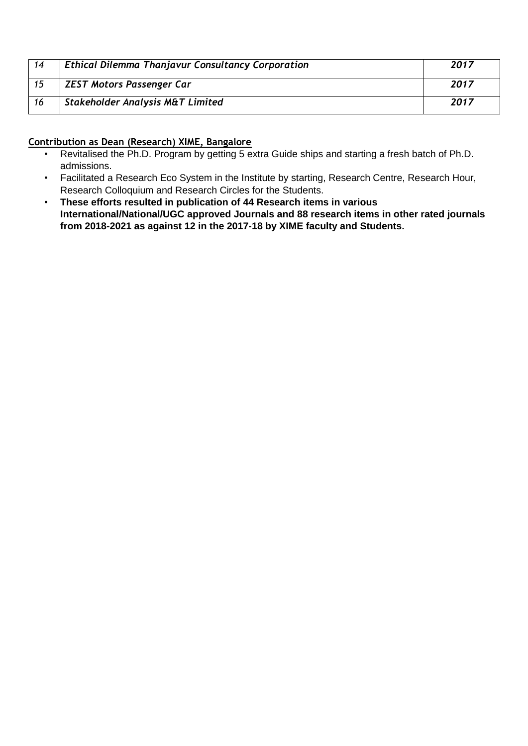| 14  | <b>Ethical Dilemma Thanjavur Consultancy Corporation</b> | 2017 |
|-----|----------------------------------------------------------|------|
| 15  | <b>ZEST Motors Passenger Car</b>                         | 2017 |
| -16 | Stakeholder Analysis M&T Limited                         | 2017 |

## **Contribution as Dean (Research) XIME, Bangalore**

- Revitalised the Ph.D. Program by getting 5 extra Guide ships and starting a fresh batch of Ph.D. admissions.
- Facilitated a Research Eco System in the Institute by starting, Research Centre, Research Hour, Research Colloquium and Research Circles for the Students.
- **These efforts resulted in publication of 44 Research items in various International/National/UGC approved Journals and 88 research items in other rated journals from 2018-2021 as against 12 in the 2017-18 by XIME faculty and Students.**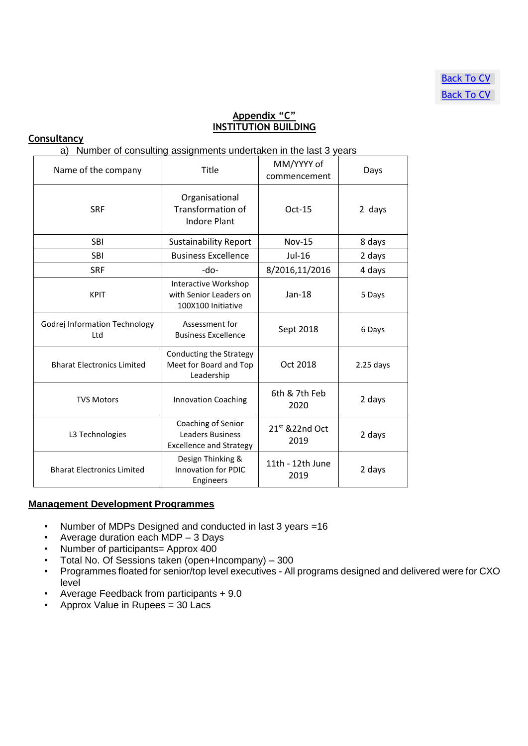## **Appendix "C" INSTITUTION BUILDING**

#### <span id="page-9-0"></span>**Consultancy**

a) Number of consulting assignments undertaken in the last 3 years

| Name of the company                         | Title                                                                           | MM/YYYY of<br>commencement | Days        |
|---------------------------------------------|---------------------------------------------------------------------------------|----------------------------|-------------|
| <b>SRF</b>                                  | Organisational<br>Transformation of<br><b>Indore Plant</b>                      | $Oct-15$                   | 2 days      |
| <b>SBI</b>                                  | <b>Sustainability Report</b>                                                    | <b>Nov-15</b>              | 8 days      |
| <b>SBI</b>                                  | <b>Business Excellence</b>                                                      | Jul-16                     | 2 days      |
| <b>SRF</b>                                  | -do-                                                                            | 8/2016,11/2016             | 4 days      |
| <b>KPIT</b>                                 | Interactive Workshop<br>with Senior Leaders on<br>100X100 Initiative            | $Jan-18$                   | 5 Days      |
| <b>Godrej Information Technology</b><br>Ltd | Assessment for<br><b>Business Excellence</b>                                    | Sept 2018                  | 6 Days      |
| <b>Bharat Electronics Limited</b>           | Conducting the Strategy<br>Meet for Board and Top<br>Leadership                 | Oct 2018                   | $2.25$ days |
| <b>TVS Motors</b>                           | <b>Innovation Coaching</b>                                                      | 6th & 7th Feb<br>2020      | 2 days      |
| L3 Technologies                             | Coaching of Senior<br><b>Leaders Business</b><br><b>Excellence and Strategy</b> | $21st$ & 22nd Oct<br>2019  | 2 days      |
| <b>Bharat Electronics Limited</b>           | Design Thinking &<br><b>Innovation for PDIC</b><br>Engineers                    | 11th - 12th June<br>2019   | 2 days      |

#### **Management Development Programmes**

- Number of MDPs Designed and conducted in last 3 years =16
- Average duration each MDP 3 Days
- Number of participants= Approx 400
- Total No. Of Sessions taken (open+Incompany) 300
- Programmes floated for senior/top level executives All programs designed and delivered were for CXO level
- Average Feedback from participants + 9.0
- Approx Value in Rupees = 30 Lacs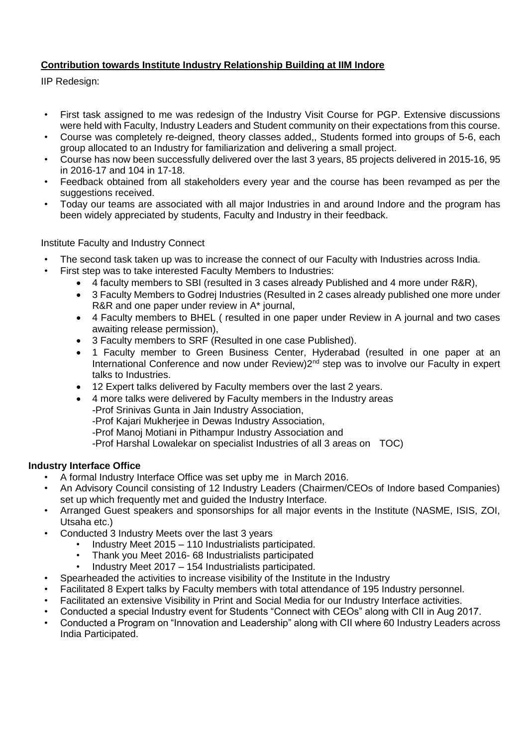## **Contribution towards Institute Industry Relationship Building at IIM Indore**

IIP Redesign:

- First task assigned to me was redesign of the Industry Visit Course for PGP. Extensive discussions were held with Faculty, Industry Leaders and Student community on their expectations from this course.
- Course was completely re-deigned, theory classes added,, Students formed into groups of 5-6, each group allocated to an Industry for familiarization and delivering a small project.
- Course has now been successfully delivered over the last 3 years, 85 projects delivered in 2015-16, 95 in 2016-17 and 104 in 17-18.
- Feedback obtained from all stakeholders every year and the course has been revamped as per the suggestions received.
- Today our teams are associated with all major Industries in and around Indore and the program has been widely appreciated by students, Faculty and Industry in their feedback.

## Institute Faculty and Industry Connect

- The second task taken up was to increase the connect of our Faculty with Industries across India.
- First step was to take interested Faculty Members to Industries:
	- 4 faculty members to SBI (resulted in 3 cases already Published and 4 more under R&R),
	- 3 Faculty Members to Godrej Industries (Resulted in 2 cases already published one more under R&R and one paper under review in A\* journal,
	- 4 Faculty members to BHEL ( resulted in one paper under Review in A journal and two cases awaiting release permission),
	- 3 Faculty members to SRF (Resulted in one case Published).
	- 1 Faculty member to Green Business Center, Hyderabad (resulted in one paper at an International Conference and now under Review) 2<sup>nd</sup> step was to involve our Faculty in expert talks to Industries.
	- 12 Expert talks delivered by Faculty members over the last 2 years.
	- 4 more talks were delivered by Faculty members in the Industry areas
		- -Prof Srinivas Gunta in Jain Industry Association,
		- -Prof Kajari Mukherjee in Dewas Industry Association,
		- -Prof Manoj Motiani in Pithampur Industry Association and
		- -Prof Harshal Lowalekar on specialist Industries of all 3 areas on TOC)

#### **Industry Interface Office**

- A formal Industry Interface Office was set upby me in March 2016.
- An Advisory Council consisting of 12 Industry Leaders (Chairmen/CEOs of Indore based Companies) set up which frequently met and guided the Industry Interface.
- Arranged Guest speakers and sponsorships for all major events in the Institute (NASME, ISIS, ZOI, Utsaha etc.)
- Conducted 3 Industry Meets over the last 3 years
	- Industry Meet 2015 110 Industrialists participated.
	- Thank you Meet 2016- 68 Industrialists participated
	- Industry Meet 2017 154 Industrialists participated.
- Spearheaded the activities to increase visibility of the Institute in the Industry
- Facilitated 8 Expert talks by Faculty members with total attendance of 195 Industry personnel.
- Facilitated an extensive Visibility in Print and Social Media for our Industry Interface activities.
- Conducted a special Industry event for Students "Connect with CEOs" along with CII in Aug 2017.
- Conducted a Program on "Innovation and Leadership" along with CII where 60 Industry Leaders across India Participated.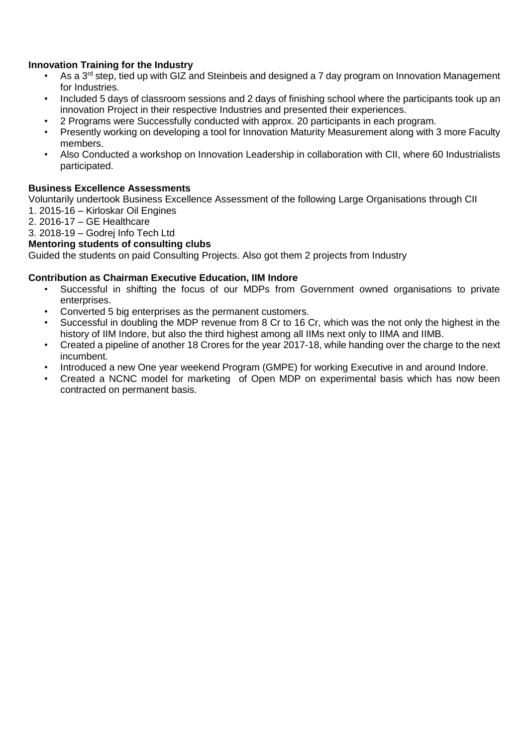## **Innovation Training for the Industry**

- As a 3<sup>rd</sup> step, tied up with GIZ and Steinbeis and designed a 7 day program on Innovation Management for Industries.
- Included 5 days of classroom sessions and 2 days of finishing school where the participants took up an innovation Project in their respective Industries and presented their experiences.
- 2 Programs were Successfully conducted with approx. 20 participants in each program.
- Presently working on developing a tool for Innovation Maturity Measurement along with 3 more Faculty members.
- Also Conducted a workshop on Innovation Leadership in collaboration with CII, where 60 Industrialists participated.

#### **Business Excellence Assessments**

Voluntarily undertook Business Excellence Assessment of the following Large Organisations through CII

- 1. 2015-16 Kirloskar Oil Engines
- 2. 2016-17 GE Healthcare

# 3. 2018-19 – Godrej Info Tech Ltd

# **Mentoring students of consulting clubs**

Guided the students on paid Consulting Projects. Also got them 2 projects from Industry

#### **Contribution as Chairman Executive Education, IIM Indore**

- Successful in shifting the focus of our MDPs from Government owned organisations to private enterprises.
- Converted 5 big enterprises as the permanent customers.
- Successful in doubling the MDP revenue from 8 Cr to 16 Cr, which was the not only the highest in the history of IIM Indore, but also the third highest among all IIMs next only to IIMA and IIMB.
- Created a pipeline of another 18 Crores for the year 2017-18, while handing over the charge to the next incumbent.
- Introduced a new One year weekend Program (GMPE) for working Executive in and around Indore.
- Created a NCNC model for marketing of Open MDP on experimental basis which has now been contracted on permanent basis.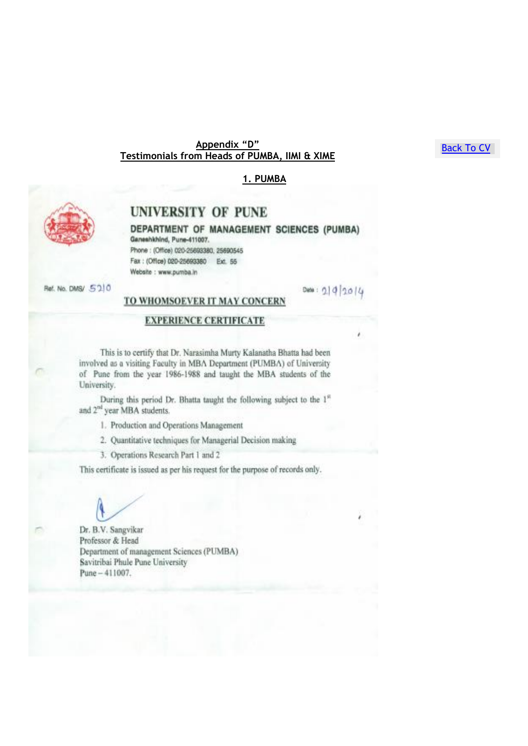#### Appendix "D" Testimonials from Heads of PUMBA, IIMI & XIME

#### <span id="page-12-0"></span>1. PUMBA

Data:  $0.1912014$ 



# UNIVERSITY OF PUNE

DEPARTMENT OF MANAGEMENT SCIENCES (PUMBA) Ganeshkhind, Pune-411007. Phone: (Office) 020-25693380, 25690545 Fax: (Office) 020-25693380 Ext. 55 Website : www.pumba.in

Ref. No. DMS/ 5210

#### TO WHOMSOEVER IT MAY CONCERN

#### **EXPERIENCE CERTIFICATE**

This is to certify that Dr. Narasimha Murty Kalanatha Bhatta had been involved as a visiting Faculty in MBA Department (PUMBA) of University of Pune from the year 1986-1988 and taught the MBA students of the University.

During this period Dr. Bhatta taught the following subject to the 1<sup>st</sup> and 2<sup>nd</sup> year MBA students.

1. Production and Operations Management

2. Quantitative techniques for Managerial Decision making

3. Operations Research Part 1 and 2

This certificate is issued as per his request for the purpose of records only.

Dr. B.V. Sangvikar Professor & Head Department of management Sciences (PUMBA) Savitribai Phule Pune University Pune - 411007.

**Back To CV**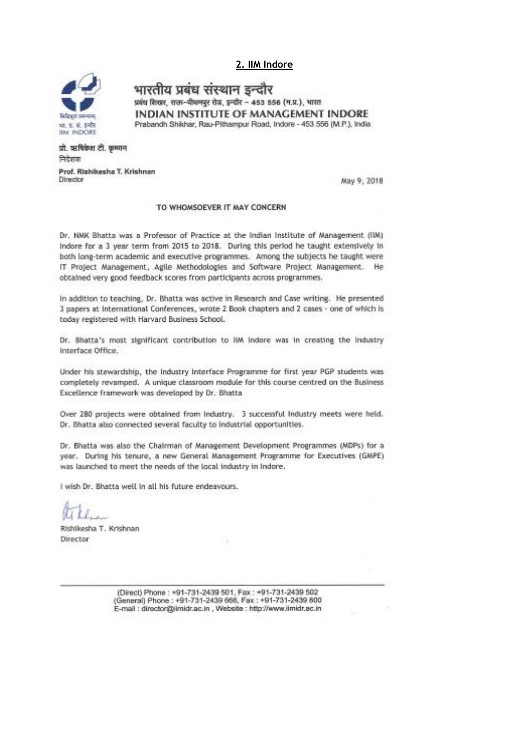#### 2. IIM Indore



भारतीय प्रबंध संस्थान इन्दौर प्रबंध शिखर, राज-पीथनपुर रोड, इन्दौर - 453 556 (म.प्र.), भारत INDIAN INSTITUTE OF MANAGEMENT INDORE Prabandh Shikhar, Rau-Pithampur Road, Indore - 453 556 (M.P.), India

प्रो. ऋषिकेश टी. कृष्णन निदेशक

Prof. Rishikesha T. Krishnan Director

May 9, 2018

#### TO WHOMSOEVER IT MAY CONCERN

Dr. NMK Bhatta was a Professor of Practice at the Indian Institute of Management (IIM) Indore for a 3 year term from 2015 to 2018. During this period he taught extensively in both long-term academic and executive programmes. Among the subjects he taught were IT Project Management, Agile Methodologies and Software Project Management. He obtained very good feedback scores from participants across programmes.

In addition to teaching, Dr. Bhatta was active in Research and Case writing. He presented 3 papers at International Conferences, wrote 2 Book chapters and 2 cases - one of which is today registered with Harvard Business School.

Dr. Bhatta's most significant contribution to IIM Indore was in creating the Industry Interface Office.

Under his stewardship, the Industry Interface Programme for first year PGP students was completely revamped. A unique classroom module for this course centred on the Business Excellence framework was developed by Dr. Bhatta

Over 280 projects were obtained from Industry. 3 successful Industry meets were held. Dr. Bhatta also connected several faculty to industrial opportunities.

Dr. Bhatta was also the Chairman of Management Development Programmes (MDPs) for a year. During his tenure, a new General Management Programme for Executives (GMPE) was launched to meet the needs of the local industry in Indore.

I wish Dr. Bhatta well in all his future endeavours.

Rishikesha T. Krishnan Director

(Direct) Phone: +91-731-2439 501, Fax: +91-731-2439 502 (General) Phone: +91-731-2439 666, Fax: +91-731-2439 800 E-mail : director@imidr.ac.in , Website : http://www.iimidr.ac.in